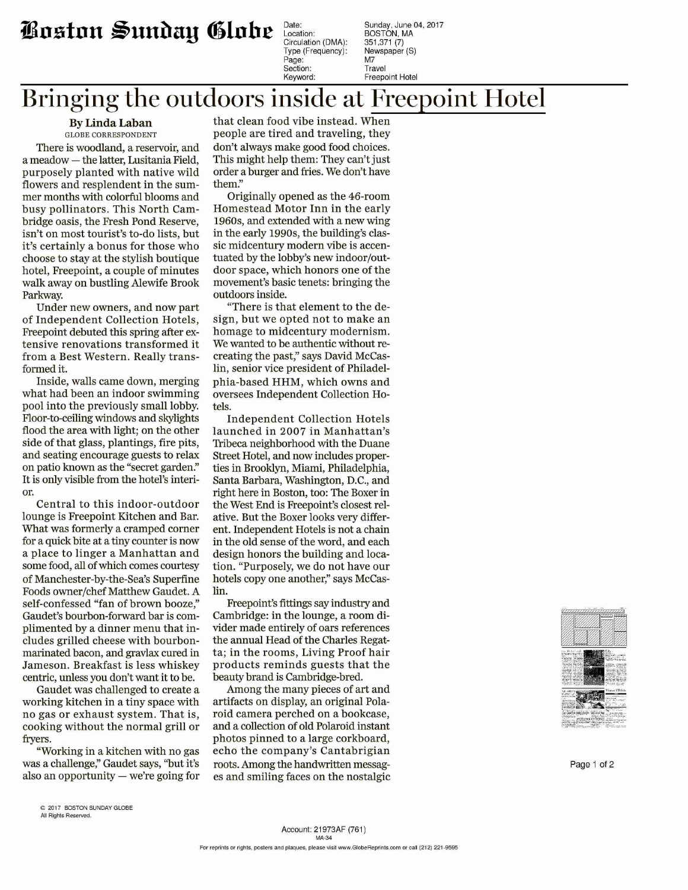## **iinntnn ~unhay ~lobe**

Type (Frequency): Ne<br>Page: Page: M7 Section:

Date: Sunday , June 04, 2017 Location: [BOSTON.MA](https://BOSTON.MA) Circulation (DMA): 351,371 (7)<br>Type (Frequency): Newspaper (S) Keyword: Freepoint Hotel

## **Bringing the outdoors inside at Freepoint Hotel**

**By Linda Laban** GLOBE CORRESPONDENT

There is woodland, a reservoir, and a meadow - the latter, Lusitania Field, purposely planted with native wild flowers and resplendent in the summer months with colorful blooms and busy pollinators. This North Cambridge oasis, the Fresh Pond Reserve, isn't on most tourist's to-do lists, but it's certainly a bonus for those who choose to stay at the stylish boutique hotel, Freepoint, a couple of minutes walk away on bustling Alewife Brook Parkway.

Under new owners, and now part of Independent Collection Hotels, Freepoint debuted this spring after extensive renovations transformed it from a Best Western. Really transformed it.

Inside, walls came down, merging what had been an indoor swimming pool into the previously small lobby. Floor-to-ceiling windows and skylights flood the area with light; on the other side of that glass, plantings, fire pits, and seating encourage guests to relax on patio known as the "secret garden." It is only visible from the hotel's interior.

Central to this indoor-outdoor lounge is Freepoint Kitchen and Bar. What was formerly a cramped corner for a quick bite at a tiny counter is now a place to linger a Manhattan and some food, all of which comes courtesy of Manchester-by-the-Sea's Superfine Foods owner/chef Matthew Gaudet. A self-confessed "fan of brown booze," Gaudet's bourbon-forward bar is complimented by a dinner menu that includes grilled cheese with bourbonmarinated bacon, and gravlax cured in Jameson. Breakfast is less whiskey centric, unless you don't want it to be.

Gaudet was challenged to create a working kitchen in a tiny space with no gas or exhaust system. That is, cooking without the normal grill or fryers.

"Working in a kitchen with no gas was a challenge;' Gaudet says, ''but it's also an opportunity  $-$  we're going for

that clean food vibe instead. When people are tired and traveling, they don't always make good food choices. This might help them: They can't just order a burger and fries. We don't have them:'

Originally opened as the 46-room Homestead Motor Inn in the early 1960s, and extended with a new wing in the early 1990s, the building's classic midcentury modern vibe is accentuated by the lobby's new indoor/outdoor space, which honors one of the movement's basic tenets: bringing the outdoors inside.

"There is that element to the design, but we opted not to make an homage to midcentury modernism. We wanted to be authentic without recreating the past;' says David Mccaslin, senior vice president of Philadelphia-based HHM, which owns and oversees Independent Collection Hotels.

Independent Collection Hotels launched in 2007 in Manhattan's Tribeca neighborhood with the Duane Street Hotel, and now includes properties in Brooklyn, Miami, Philadelphia, Santa Barbara, Washington, D.C., and right here in Boston, too: The Boxer in the West End is Freepoint's closest relative. But the Boxer looks very different. Independent Hotels is not a chain in the old sense of the word, and each design honors the building and location. "Purposely, we do not have our hotels copy one another," says Mccaslin.

Freepoint's fittings say industry and Cambridge: in the lounge, a room divider made entirely of oars references the annual Head of the Charles Regatta; in the rooms, Living Proof hair products reminds guests that the beauty brand is Cambridge-bred.

Among the many pieces of art and artifacts on display, an original Polaroid camera perched on a bookcase, and a collection of old Polaroid instant photos pinned to a large corkboard, echo the company's Cantabrigian roots. Among the handwritten messages and smiling faces on the nostalgic



Page 1 of 2

<sup>© 2017</sup> BOSTON SUNDAY GLOBE